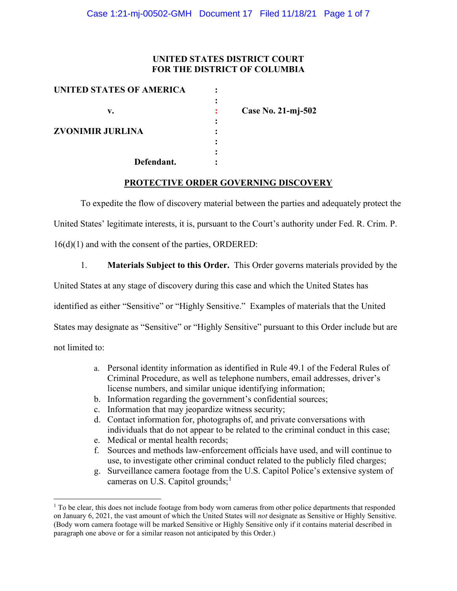## **UNITED STATES DISTRICT COURT FOR THE DISTRICT OF COLUMBIA**

| UNITED STATES OF AMERICA      |   |                    |
|-------------------------------|---|--------------------|
|                               |   |                    |
| v.<br><b>ZVONIMIR JURLINA</b> |   | Case No. 21-mj-502 |
|                               | ٠ |                    |
|                               |   |                    |
|                               |   |                    |
|                               |   |                    |
| Defendant.                    |   |                    |

### **PROTECTIVE ORDER GOVERNING DISCOVERY**

To expedite the flow of discovery material between the parties and adequately protect the

United States' legitimate interests, it is, pursuant to the Court's authority under Fed. R. Crim. P.

16(d)(1) and with the consent of the parties, ORDERED:

1. **Materials Subject to this Order.** This Order governs materials provided by the

United States at any stage of discovery during this case and which the United States has

identified as either "Sensitive" or "Highly Sensitive." Examples of materials that the United

States may designate as "Sensitive" or "Highly Sensitive" pursuant to this Order include but are

not limited to:

- a. Personal identity information as identified in Rule 49.1 of the Federal Rules of Criminal Procedure, as well as telephone numbers, email addresses, driver's license numbers, and similar unique identifying information;
- b. Information regarding the government's confidential sources;
- c. Information that may jeopardize witness security;
- d. Contact information for, photographs of, and private conversations with individuals that do not appear to be related to the criminal conduct in this case;
- e. Medical or mental health records;
- f. Sources and methods law-enforcement officials have used, and will continue to use, to investigate other criminal conduct related to the publicly filed charges;
- g. Surveillance camera footage from the U.S. Capitol Police's extensive system of cameras on U.S. Capitol grounds; $<sup>1</sup>$ </sup>

<sup>&</sup>lt;sup>1</sup> To be clear, this does not include footage from body worn cameras from other police departments that responded on January 6, 2021, the vast amount of which the United States will *not* designate as Sensitive or Highly Sensitive. (Body worn camera footage will be marked Sensitive or Highly Sensitive only if it contains material described in paragraph one above or for a similar reason not anticipated by this Order.)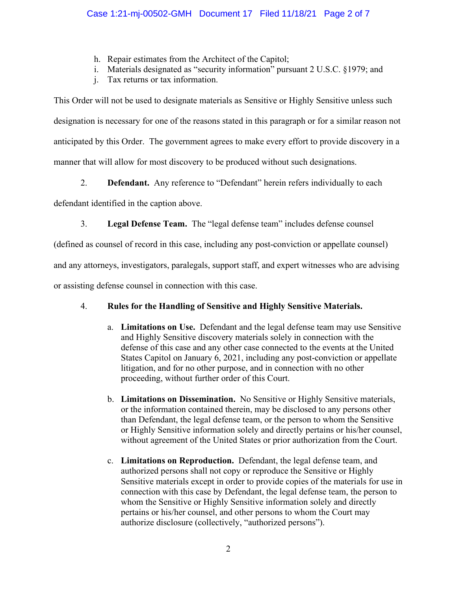- h. Repair estimates from the Architect of the Capitol;
- i. Materials designated as "security information" pursuant 2 U.S.C. §1979; and
- j. Tax returns or tax information.

This Order will not be used to designate materials as Sensitive or Highly Sensitive unless such designation is necessary for one of the reasons stated in this paragraph or for a similar reason not anticipated by this Order. The government agrees to make every effort to provide discovery in a manner that will allow for most discovery to be produced without such designations.

2. **Defendant.** Any reference to "Defendant" herein refers individually to each

defendant identified in the caption above.

3. **Legal Defense Team.** The "legal defense team" includes defense counsel

(defined as counsel of record in this case, including any post-conviction or appellate counsel)

and any attorneys, investigators, paralegals, support staff, and expert witnesses who are advising

or assisting defense counsel in connection with this case.

# 4. **Rules for the Handling of Sensitive and Highly Sensitive Materials.**

- a. **Limitations on Use.** Defendant and the legal defense team may use Sensitive and Highly Sensitive discovery materials solely in connection with the defense of this case and any other case connected to the events at the United States Capitol on January 6, 2021, including any post-conviction or appellate litigation, and for no other purpose, and in connection with no other proceeding, without further order of this Court.
- b. **Limitations on Dissemination.** No Sensitive or Highly Sensitive materials, or the information contained therein, may be disclosed to any persons other than Defendant, the legal defense team, or the person to whom the Sensitive or Highly Sensitive information solely and directly pertains or his/her counsel, without agreement of the United States or prior authorization from the Court.
- c. **Limitations on Reproduction.** Defendant, the legal defense team, and authorized persons shall not copy or reproduce the Sensitive or Highly Sensitive materials except in order to provide copies of the materials for use in connection with this case by Defendant, the legal defense team, the person to whom the Sensitive or Highly Sensitive information solely and directly pertains or his/her counsel, and other persons to whom the Court may authorize disclosure (collectively, "authorized persons").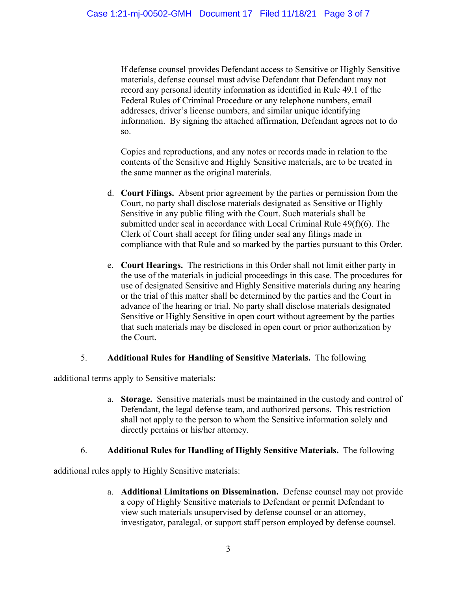If defense counsel provides Defendant access to Sensitive or Highly Sensitive materials, defense counsel must advise Defendant that Defendant may not record any personal identity information as identified in Rule 49.1 of the Federal Rules of Criminal Procedure or any telephone numbers, email addresses, driver's license numbers, and similar unique identifying information. By signing the attached affirmation, Defendant agrees not to do so.

Copies and reproductions, and any notes or records made in relation to the contents of the Sensitive and Highly Sensitive materials, are to be treated in the same manner as the original materials.

- d. **Court Filings.** Absent prior agreement by the parties or permission from the Court, no party shall disclose materials designated as Sensitive or Highly Sensitive in any public filing with the Court. Such materials shall be submitted under seal in accordance with Local Criminal Rule 49(f)(6). The Clerk of Court shall accept for filing under seal any filings made in compliance with that Rule and so marked by the parties pursuant to this Order.
- e. **Court Hearings.** The restrictions in this Order shall not limit either party in the use of the materials in judicial proceedings in this case. The procedures for use of designated Sensitive and Highly Sensitive materials during any hearing or the trial of this matter shall be determined by the parties and the Court in advance of the hearing or trial. No party shall disclose materials designated Sensitive or Highly Sensitive in open court without agreement by the parties that such materials may be disclosed in open court or prior authorization by the Court.

## 5. **Additional Rules for Handling of Sensitive Materials.** The following

additional terms apply to Sensitive materials:

a. **Storage.** Sensitive materials must be maintained in the custody and control of Defendant, the legal defense team, and authorized persons. This restriction shall not apply to the person to whom the Sensitive information solely and directly pertains or his/her attorney.

## 6. **Additional Rules for Handling of Highly Sensitive Materials.** The following

additional rules apply to Highly Sensitive materials:

a. **Additional Limitations on Dissemination.** Defense counsel may not provide a copy of Highly Sensitive materials to Defendant or permit Defendant to view such materials unsupervised by defense counsel or an attorney, investigator, paralegal, or support staff person employed by defense counsel.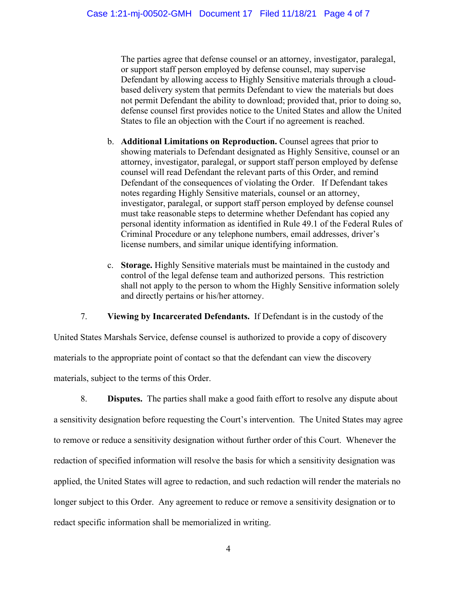The parties agree that defense counsel or an attorney, investigator, paralegal, or support staff person employed by defense counsel, may supervise Defendant by allowing access to Highly Sensitive materials through a cloudbased delivery system that permits Defendant to view the materials but does not permit Defendant the ability to download; provided that, prior to doing so, defense counsel first provides notice to the United States and allow the United States to file an objection with the Court if no agreement is reached.

- b. **Additional Limitations on Reproduction.** Counsel agrees that prior to showing materials to Defendant designated as Highly Sensitive, counsel or an attorney, investigator, paralegal, or support staff person employed by defense counsel will read Defendant the relevant parts of this Order, and remind Defendant of the consequences of violating the Order. If Defendant takes notes regarding Highly Sensitive materials, counsel or an attorney, investigator, paralegal, or support staff person employed by defense counsel must take reasonable steps to determine whether Defendant has copied any personal identity information as identified in Rule 49.1 of the Federal Rules of Criminal Procedure or any telephone numbers, email addresses, driver's license numbers, and similar unique identifying information.
- c. **Storage.** Highly Sensitive materials must be maintained in the custody and control of the legal defense team and authorized persons. This restriction shall not apply to the person to whom the Highly Sensitive information solely and directly pertains or his/her attorney.

7. **Viewing by Incarcerated Defendants.** If Defendant is in the custody of the

United States Marshals Service, defense counsel is authorized to provide a copy of discovery materials to the appropriate point of contact so that the defendant can view the discovery materials, subject to the terms of this Order.

8. **Disputes.** The parties shall make a good faith effort to resolve any dispute about a sensitivity designation before requesting the Court's intervention. The United States may agree to remove or reduce a sensitivity designation without further order of this Court. Whenever the redaction of specified information will resolve the basis for which a sensitivity designation was applied, the United States will agree to redaction, and such redaction will render the materials no longer subject to this Order. Any agreement to reduce or remove a sensitivity designation or to redact specific information shall be memorialized in writing.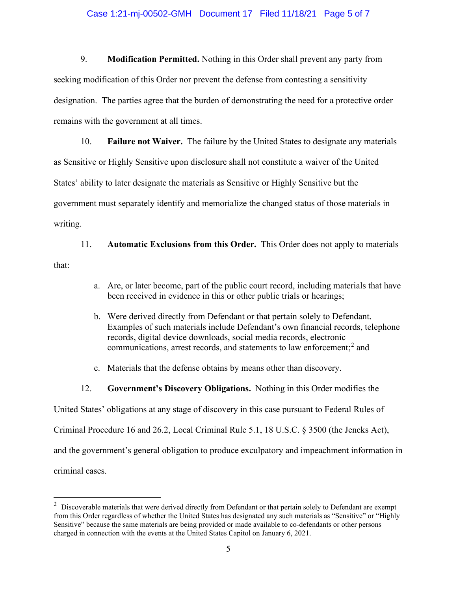### Case 1:21-mj-00502-GMH Document 17 Filed 11/18/21 Page 5 of 7

9. **Modification Permitted.** Nothing in this Order shall prevent any party from seeking modification of this Order nor prevent the defense from contesting a sensitivity designation. The parties agree that the burden of demonstrating the need for a protective order remains with the government at all times.

10. **Failure not Waiver.** The failure by the United States to designate any materials as Sensitive or Highly Sensitive upon disclosure shall not constitute a waiver of the United States' ability to later designate the materials as Sensitive or Highly Sensitive but the government must separately identify and memorialize the changed status of those materials in writing.

11. **Automatic Exclusions from this Order.** This Order does not apply to materials that:

- a. Are, or later become, part of the public court record, including materials that have been received in evidence in this or other public trials or hearings;
- b. Were derived directly from Defendant or that pertain solely to Defendant. Examples of such materials include Defendant's own financial records, telephone records, digital device downloads, social media records, electronic communications, arrest records, and statements to law enforcement; <sup>2</sup> and
- c. Materials that the defense obtains by means other than discovery.
- 12. **Government's Discovery Obligations.** Nothing in this Order modifies the

United States' obligations at any stage of discovery in this case pursuant to Federal Rules of

Criminal Procedure 16 and 26.2, Local Criminal Rule 5.1, 18 U.S.C. § 3500 (the Jencks Act),

and the government's general obligation to produce exculpatory and impeachment information in

criminal cases.

 $2$  Discoverable materials that were derived directly from Defendant or that pertain solely to Defendant are exempt from this Order regardless of whether the United States has designated any such materials as "Sensitive" or "Highly Sensitive" because the same materials are being provided or made available to co-defendants or other persons charged in connection with the events at the United States Capitol on January 6, 2021.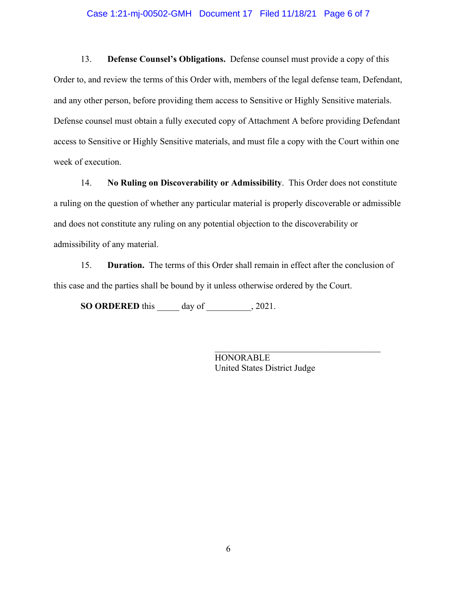#### Case 1:21-mj-00502-GMH Document 17 Filed 11/18/21 Page 6 of 7

13. **Defense Counsel's Obligations.** Defense counsel must provide a copy of this Order to, and review the terms of this Order with, members of the legal defense team, Defendant, and any other person, before providing them access to Sensitive or Highly Sensitive materials. Defense counsel must obtain a fully executed copy of Attachment A before providing Defendant access to Sensitive or Highly Sensitive materials, and must file a copy with the Court within one week of execution.

14. **No Ruling on Discoverability or Admissibility**. This Order does not constitute a ruling on the question of whether any particular material is properly discoverable or admissible and does not constitute any ruling on any potential objection to the discoverability or admissibility of any material.

15. **Duration.** The terms of this Order shall remain in effect after the conclusion of this case and the parties shall be bound by it unless otherwise ordered by the Court.

**SO ORDERED** this \_\_\_\_\_ day of \_\_\_\_\_\_\_\_\_\_, 2021.

**HONORABLE** United States District Judge

\_\_\_\_\_\_\_\_\_\_\_\_\_\_\_\_\_\_\_\_\_\_\_\_\_\_\_\_\_\_\_\_\_\_\_\_\_